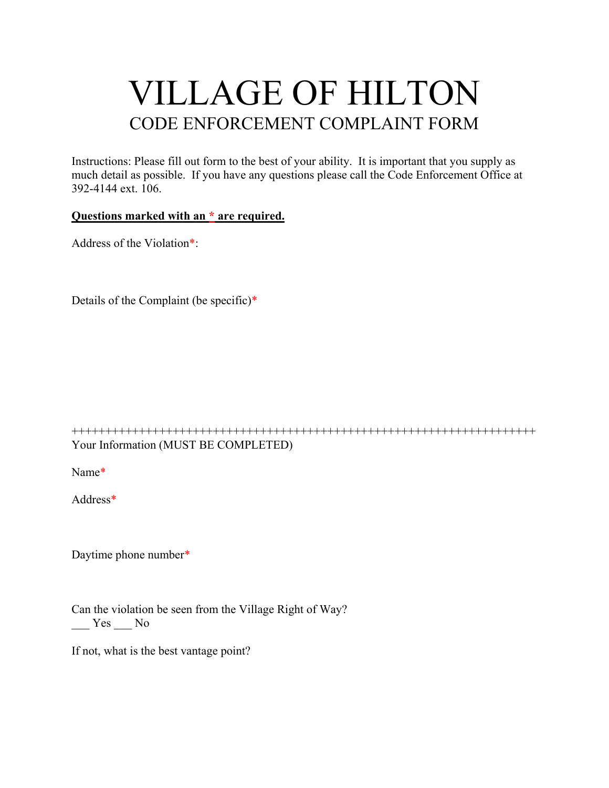## VILLAGE OF HILTON CODE ENFORCEMENT COMPLAINT FORM

Instructions: Please fill out form to the best of your ability. It is important that you supply as much detail as possible. If you have any questions please call the Code Enforcement Office at 392-4144 ext. 106.

## **Questions marked with an \* are required.**

Address of the Violation\*:

| Details of the Complaint (be specific)* |  |
|-----------------------------------------|--|
|-----------------------------------------|--|

+++++++++++++++++++++++++++++++++++++++++++++++++++++++++++++++++++++ Your Information (MUST BE COMPLETED)

Name\*

Address\*

Daytime phone number\*

Can the violation be seen from the Village Right of Way?  $Yes$  No

If not, what is the best vantage point?